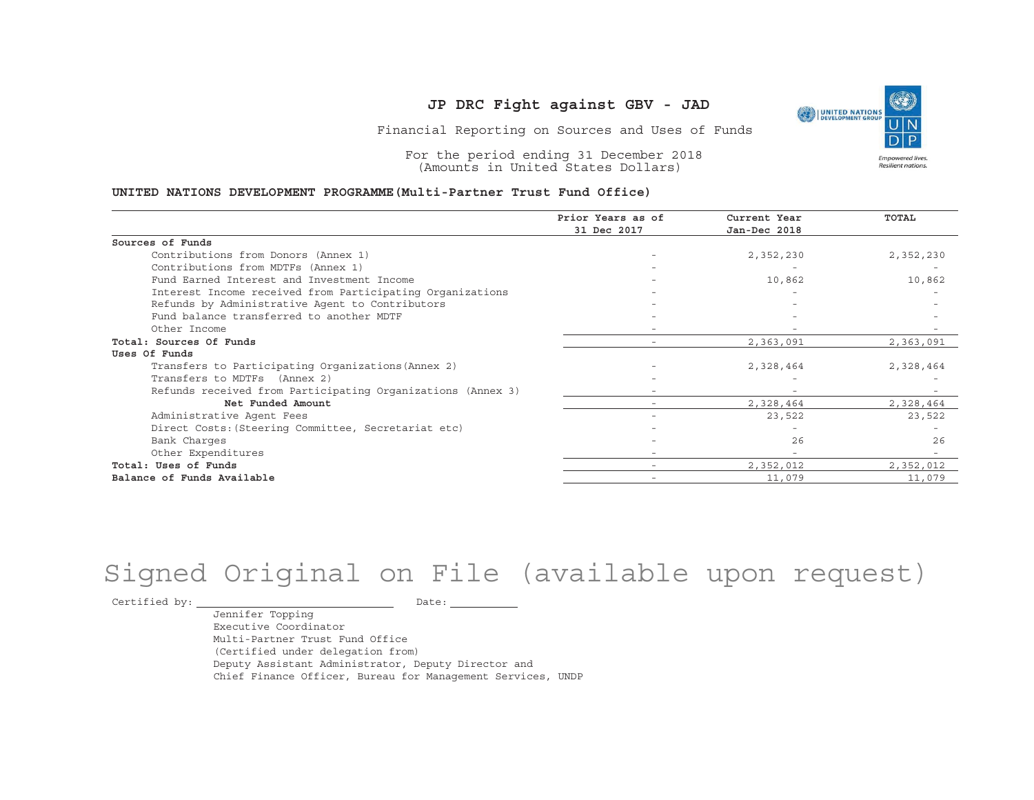

Financial Reporting on Sources and Uses of Funds

For the period ending 31 December 2018 (Amounts in United States Dollars)

#### **UNITED NATIONS DEVELOPMENT PROGRAMME(Multi-Partner Trust Fund Office)**

|                                                             | Prior Years as of | Current Year             | <b>TOTAL</b> |
|-------------------------------------------------------------|-------------------|--------------------------|--------------|
|                                                             | 31 Dec 2017       | Jan-Dec 2018             |              |
| Sources of Funds                                            |                   |                          |              |
| Contributions from Donors (Annex 1)                         |                   | 2,352,230                | 2,352,230    |
| Contributions from MDTFs (Annex 1)                          |                   |                          |              |
| Fund Earned Interest and Investment Income                  |                   | 10,862                   | 10,862       |
| Interest Income received from Participating Organizations   |                   |                          |              |
| Refunds by Administrative Agent to Contributors             |                   |                          |              |
| Fund balance transferred to another MDTF                    |                   |                          |              |
| Other Income                                                |                   |                          |              |
| Total: Sources Of Funds                                     |                   | 2,363,091                | 2,363,091    |
| Uses Of Funds                                               |                   |                          |              |
| Transfers to Participating Organizations (Annex 2)          |                   | 2,328,464                | 2,328,464    |
| Transfers to MDTFs (Annex 2)                                |                   |                          |              |
| Refunds received from Participating Organizations (Annex 3) | $-$               | $\overline{\phantom{0}}$ |              |
| Net Funded Amount                                           |                   | 2,328,464                | 2,328,464    |
| Administrative Agent Fees                                   |                   | 23,522                   | 23,522       |
| Direct Costs: (Steering Committee, Secretariat etc)         |                   |                          |              |
| Bank Charges                                                |                   | 2.6                      | 2.6          |
| Other Expenditures                                          |                   |                          |              |
| Total: Uses of Funds                                        |                   | 2,352,012                | 2,352,012    |
| Balance of Funds Available                                  |                   | 11,079                   | 11,079       |

# Signed Original on File (available upon request)

Certified by: Date:

Jennifer Topping Executive CoordinatorMulti-Partner Trust Fund Office(Certified under delegation from) Deputy Assistant Administrator, Deputy Director and Chief Finance Officer, Bureau for Management Services, UNDP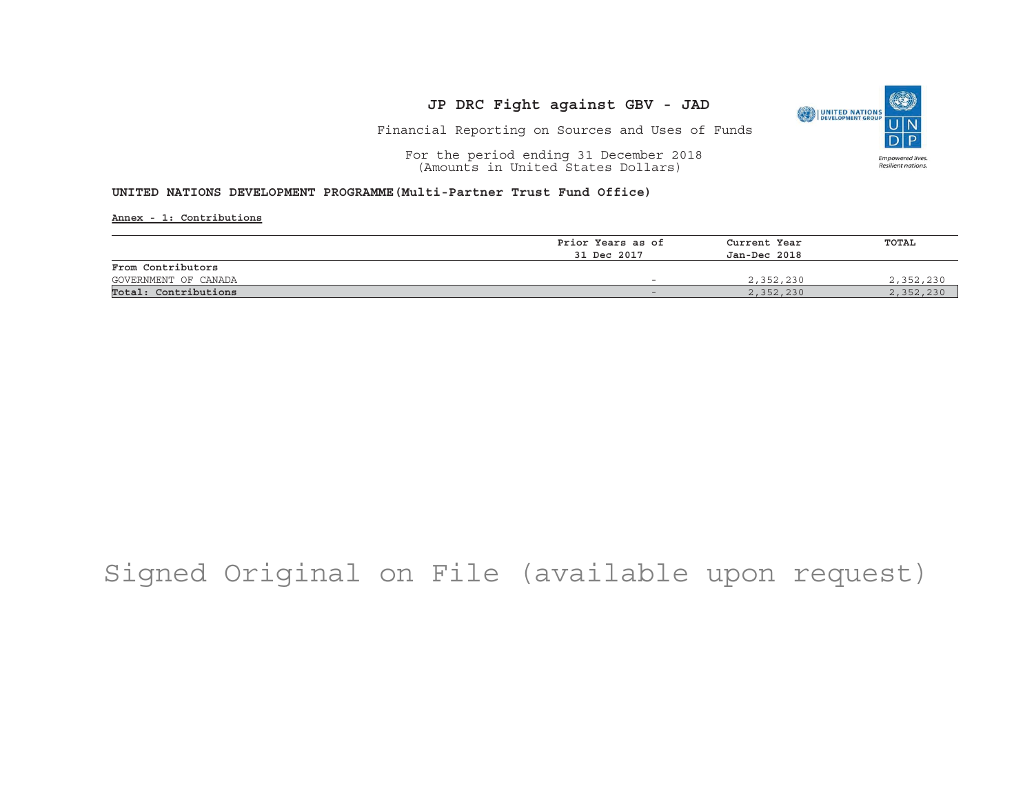

Financial Reporting on Sources and Uses of Funds

For the period ending 31 December 2018 (Amounts in United States Dollars)

#### **UNITED NATIONS DEVELOPMENT PROGRAMME(Multi-Partner Trust Fund Office)**

**Annex - 1: Contributions**

|                      | Prior Years as of | Current Year | TOTAL     |
|----------------------|-------------------|--------------|-----------|
|                      | 31 Dec 2017       | Jan-Dec 2018 |           |
| From Contributors    |                   |              |           |
| GOVERNMENT OF CANADA |                   | 2,352,230    | 2,352,230 |
| Total: Contributions |                   | 2,352,230    | 2,352,230 |

## Signed Original on File (available upon request)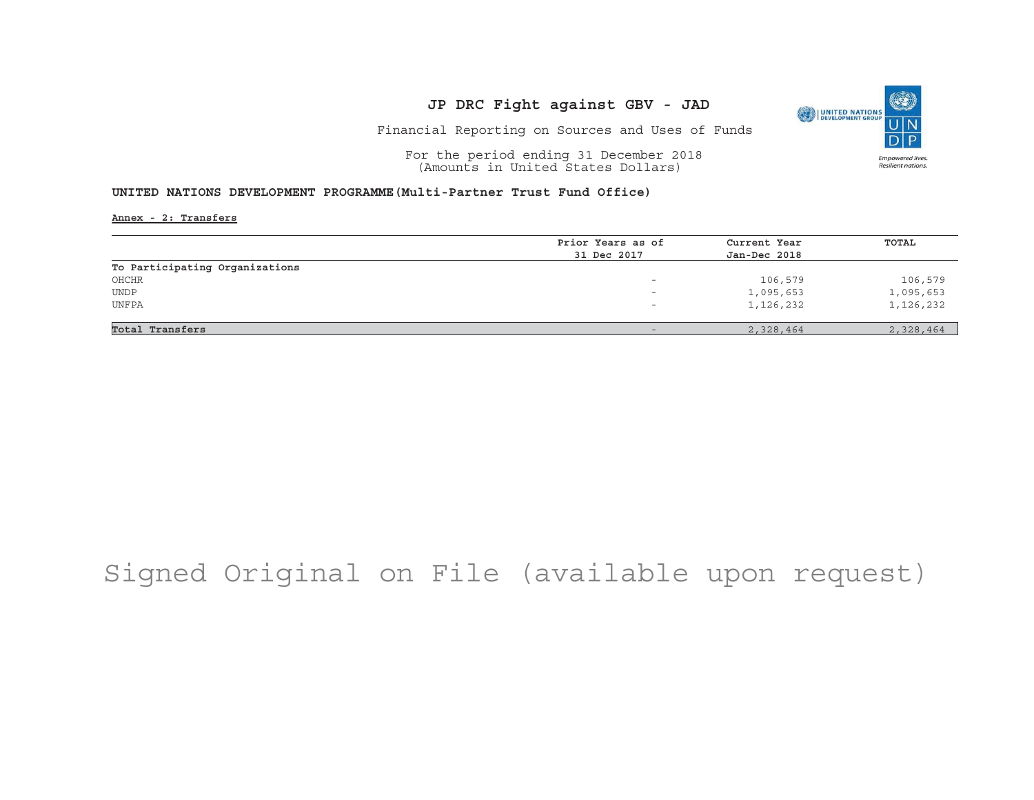

Financial Reporting on Sources and Uses of Funds

For the period ending 31 December 2018 (Amounts in United States Dollars)

#### **UNITED NATIONS DEVELOPMENT PROGRAMME(Multi-Partner Trust Fund Office)**

**Annex - 2: Transfers**

|                                | Prior Years as of        | Current Year | TOTAL     |
|--------------------------------|--------------------------|--------------|-----------|
|                                | 31 Dec 2017              | Jan-Dec 2018 |           |
| To Participating Organizations |                          |              |           |
| OHCHR                          | $\overline{\phantom{0}}$ | 106,579      | 106,579   |
| <b>UNDP</b>                    | -                        | 1,095,653    | 1,095,653 |
| UNFPA                          | $\overline{\phantom{0}}$ | 1,126,232    | 1,126,232 |
|                                |                          |              |           |
| Total Transfers                |                          | 2,328,464    | 2,328,464 |

## Signed Original on File (available upon request)